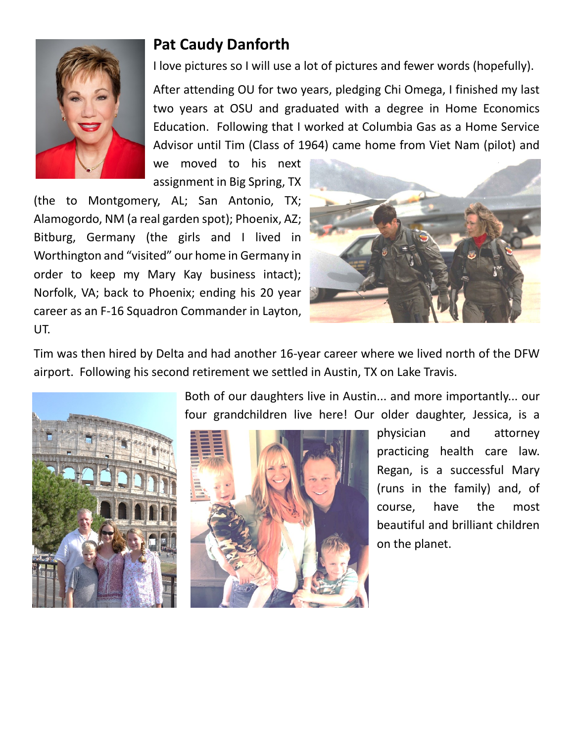

## **Pat Caudy Danforth**

I love pictures so I will use a lot of pictures and fewer words (hopefully).

After attending OU for two years, pledging Chi Omega, I finished my last two years at OSU and graduated with a degree in Home Economics Education. Following that I worked at Columbia Gas as a Home Service Advisor until Tim (Class of 1964) came home from Viet Nam (pilot) and

we moved to his next assignment in Big Spring, TX

(the to Montgomery, AL; San Antonio, TX; Alamogordo, NM (a real garden spot); Phoenix, AZ; Bitburg, Germany (the girls and I lived in Worthington and "visited" our home in Germany in order to keep my Mary Kay business intact); Norfolk, VA; back to Phoenix; ending his 20 year career as an F-16 Squadron Commander in Layton, UT.



Tim was then hired by Delta and had another 16-year career where we lived north of the DFW airport. Following his second retirement we settled in Austin, TX on Lake Travis.



Both of our daughters live in Austin... and more importantly... our four grandchildren live here! Our older daughter, Jessica, is a



physician and attorney practicing health care law. Regan, is a successful Mary (runs in the family) and, of course, have the most beautiful and brilliant children on the planet.